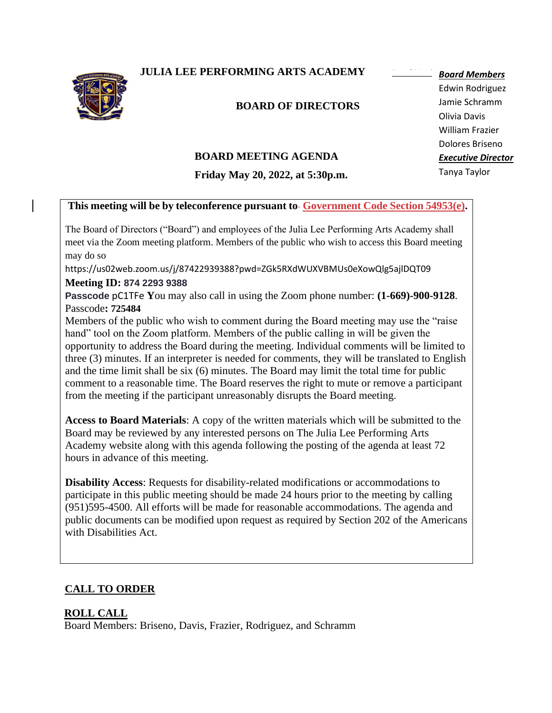**JULIA LEE PERFORMING ARTS ACADEMY** 



### **BOARD OF DIRECTORS**

# **BOARD MEETING AGENDA**

**Friday May 20, 2022, at 5:30p.m.**

Edwin Rodriguez Olivia Davis Dolores Briseno Executive Director *Executive Director* Tanya Taylor Tanya Taylor*Board Members* Jamie Schramm William Frazier

### This meeting will be by teleconference pursuant to-Government Code Section 54953(e).

The Board of Directors ("Board") and employees of the Julia Lee Performing Arts Academy shall meet via the Zoom meeting platform. Members of the public who wish to access this Board meeting may do so

https://us02web.zoom.us/j/87422939388?pwd=ZGk5RXdWUXVBMUs0eXowQlg5ajlDQT09

#### **Meeting ID: 874 2293 9388**

**Passcode** pC1TFe **Y**ou may also call in using the Zoom phone number: **(1-669)-900-9128**. Passcode**: 725484**

Members of the public who wish to comment during the Board meeting may use the "raise hand" tool on the Zoom platform. Members of the public calling in will be given the opportunity to address the Board during the meeting. Individual comments will be limited to three (3) minutes. If an interpreter is needed for comments, they will be translated to English and the time limit shall be six (6) minutes. The Board may limit the total time for public comment to a reasonable time. The Board reserves the right to mute or remove a participant from the meeting if the participant unreasonably disrupts the Board meeting.

**Access to Board Materials**: A copy of the written materials which will be submitted to the Board may be reviewed by any interested persons on The Julia Lee Performing Arts Academy website along with this agenda following the posting of the agenda at least 72 hours in advance of this meeting.

**Disability Access**: Requests for disability-related modifications or accommodations to participate in this public meeting should be made 24 hours prior to the meeting by calling (951)595-4500. All efforts will be made for reasonable accommodations. The agenda and public documents can be modified upon request as required by Section 202 of the Americans with Disabilities Act.

# **CALL TO ORDER**

### **ROLL CALL**

Board Members: Briseno, Davis, Frazier, Rodriguez, and Schramm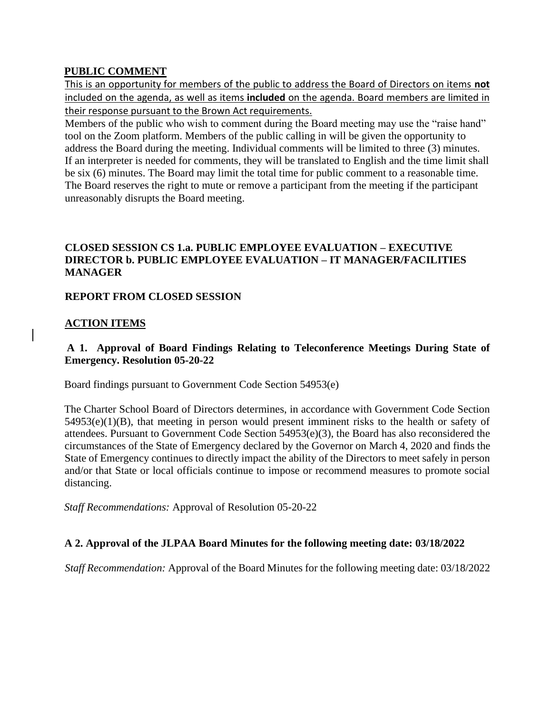### **PUBLIC COMMENT**

This is an opportunity for members of the public to address the Board of Directors on items **not** included on the agenda, as well as items **included** on the agenda. Board members are limited in their response pursuant to the Brown Act requirements.

Members of the public who wish to comment during the Board meeting may use the "raise hand" tool on the Zoom platform. Members of the public calling in will be given the opportunity to address the Board during the meeting. Individual comments will be limited to three (3) minutes. If an interpreter is needed for comments, they will be translated to English and the time limit shall be six (6) minutes. The Board may limit the total time for public comment to a reasonable time. The Board reserves the right to mute or remove a participant from the meeting if the participant unreasonably disrupts the Board meeting.

### **CLOSED SESSION CS 1.a. PUBLIC EMPLOYEE EVALUATION – EXECUTIVE DIRECTOR b. PUBLIC EMPLOYEE EVALUATION – IT MANAGER/FACILITIES MANAGER**

## **REPORT FROM CLOSED SESSION**

## **ACTION ITEMS**

### **A 1. Approval of Board Findings Relating to Teleconference Meetings During State of Emergency. Resolution 05-20-22**

Board findings pursuant to Government Code Section 54953(e)

The Charter School Board of Directors determines, in accordance with Government Code Section 54953(e)(1)(B), that meeting in person would present imminent risks to the health or safety of attendees. Pursuant to Government Code Section 54953(e)(3), the Board has also reconsidered the circumstances of the State of Emergency declared by the Governor on March 4, 2020 and finds the State of Emergency continues to directly impact the ability of the Directors to meet safely in person and/or that State or local officials continue to impose or recommend measures to promote social distancing.

*Staff Recommendations:* Approval of Resolution 05-20-22

### **A 2. Approval of the JLPAA Board Minutes for the following meeting date: 03/18/2022**

*Staff Recommendation:* Approval of the Board Minutes for the following meeting date: 03/18/2022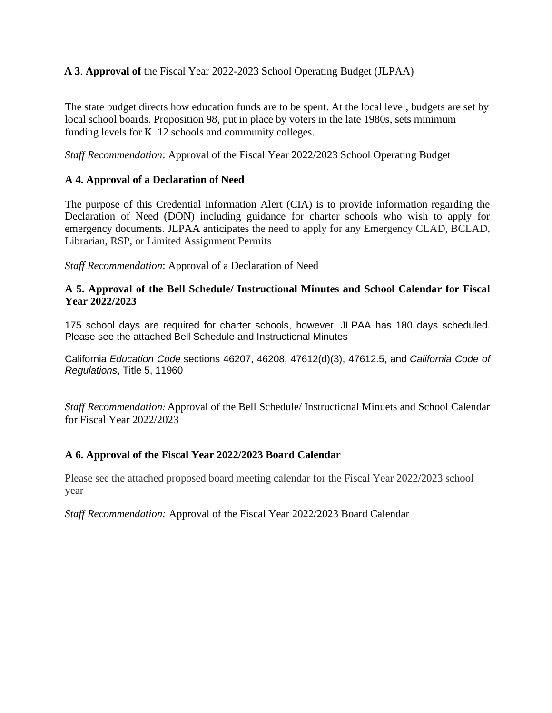### **A 3**. **Approval of** the Fiscal Year 2022-2023 School Operating Budget (JLPAA)

The state budget directs how education funds are to be spent. At the local level, budgets are set by local school boards. Proposition 98, put in place by voters in the late 1980s, sets minimum funding levels for K–12 schools and community colleges.

*Staff Recommendation*: Approval of the Fiscal Year 2022/2023 School Operating Budget

### **A 4. Approval of a Declaration of Need**

The purpose of this Credential Information Alert (CIA) is to provide information regarding the Declaration of Need (DON) including guidance for charter schools who wish to apply for emergency documents. JLPAA anticipates the need to apply for any Emergency CLAD, BCLAD, Librarian, RSP, or Limited Assignment Permits

*Staff Recommendation*: Approval of a Declaration of Need

#### **A 5. Approval of the Bell Schedule/ Instructional Minutes and School Calendar for Fiscal Year 2022/2023**

175 school days are required for charter schools, however, JLPAA has 180 days scheduled. Please see the attached Bell Schedule and Instructional Minutes

California *Education Code* sections 46207, 46208, 47612(d)(3), 47612.5, and *California Code of Regulations*, Title 5, 11960

*Staff Recommendation:* Approval of the Bell Schedule/ Instructional Minuets and School Calendar for Fiscal Year 2022/2023

### **A 6. Approval of the Fiscal Year 2022/2023 Board Calendar**

Please see the attached proposed board meeting calendar for the Fiscal Year 2022/2023 school year

*Staff Recommendation:* Approval of the Fiscal Year 2022/2023 Board Calendar